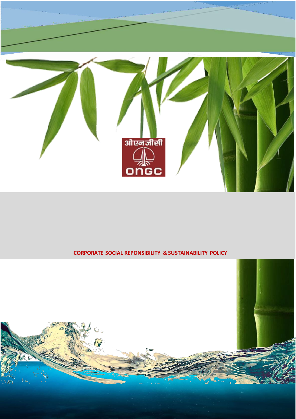

# **CORPORATE SOCIAL REPONSIBILITY & SUSTAINABILITY POLICY**

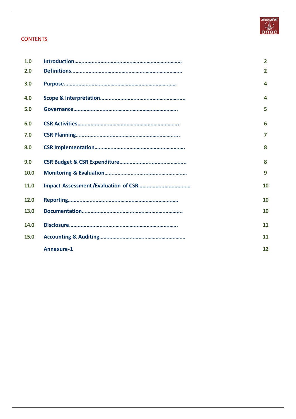

# <span id="page-1-0"></span>**CONTENTS**

| 1.0  |                   | $\overline{2}$ |
|------|-------------------|----------------|
| 2.0  |                   | $\overline{2}$ |
| 3.0  |                   | 4              |
| 4.0  |                   | 4              |
| 5.0  |                   | 5              |
| 6.0  |                   | 6              |
| 7.0  |                   | 7              |
| 8.0  |                   | 8              |
| 9.0  |                   | 8              |
| 10.0 |                   | 9              |
| 11.0 |                   | 10             |
| 12.0 |                   | 10             |
| 13.0 |                   | 10             |
| 14.0 |                   | 11             |
| 15.0 |                   | 11             |
|      | <b>Annexure-1</b> | 12             |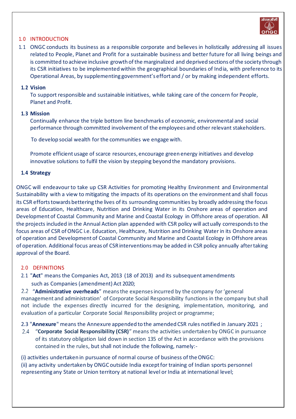

#### 1. 0 INTRODUCTION

1.1 ONGC conducts its business as a responsible corporate and believes in holistically addressing all issues related to People, Planet and Profit for a sustainable business and better future for all living beings and is committed to achieve inclusive growth of the marginalized and deprived sections of the society through its CSR initiatives to be implemented within the geographical boundaries of India, with preference to its Operational Areas, by supplementing government's effort and / or by making independent efforts.

#### **1. 2 Vision**

To support responsible and sustainable initiatives, while taking care of the concern for People, Planet and Profit.

## **1. 3 Mission**

Continually enhance the triple bottom line benchmarks of economic, environmental and social performance through committed involvement of the employees and other relevant stakeholders.

To develop social wealth for the communities we engage with.

Promote efficient usage of scarce resources, encourage green energy initiatives and develop innovative solutions to fulfil the vision by stepping beyond the mandatory provisions.

## **1. 4 Strategy**

ONGC will endeavour to take up CSR Activities for promoting Healthy Environment and Environmental Sustainability with a view to mitigating the impacts of its operations on the environment and shall focus its CSR efforts towards bettering the lives of its surrounding communities by broadly addressing the focus areas of Education, Healthcare, Nutrition and Drinking Water in its Onshore areas of operation and Development of Coastal Community and Marine and Coastal Ecology in Offshore areas of operation. All the projects included in the Annual Action plan appended with CSR policy will actually corresponds to the focus areas of CSR of ONGC i.e. Education, Healthcare, Nutrition and Drinking Water in its Onshore areas of operation and Development of Coastal Community and Marine and Coastal Ecology in Offshore areas of operation. Additional focus areas of CSR interventions may be added in CSR policy annually after taking approval of the Board.

#### <span id="page-2-0"></span>2. 0 DEFINITIONS

2. 1 "**Act**" means the Companies Act, 2013 (18 of 2013) and its subsequent amendments such as Companies (amendment) Act 2020;

"**Administrative overheads**" means the expenses incurred by the company for 'general management and administration' of Corporate Social Responsibility functions in the company but shall not include the expenses directly incurred for the designing, implementation, monitoring, and evaluation of a particular Corporate Social Responsibility project or programme;

2.3 "**Annexure**" means the Annexure appended to the amended CSR rules notified in January 2021 ;

"**Corporate Social Responsibility (CSR)**" means the activities undertaken by ONGC in pursuance of its statutory obligation laid down in section 135 of the Act in accordance with the provisions contained in the rules, but shall not include the following, namely:-

(i) activities undertaken in pursuance of normal course of business of theONGC: (ii) any activity undertaken by ONGC outside India except for training of Indian sports personnel

representing any State or Union territory at national level or India at international level;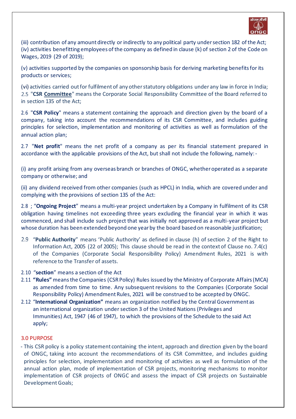

(iii) contribution of any amount directly or indirectly to any political party undersection 182 ofthe Act; (iv) activities benefitting employees of the company as defined in clause (k) of section 2 of the Code on Wages, 2019 (29 of 2019);

(v) activities supported by the companies on sponsorship basis for deriving marketing benefits for its products or services;

(vi) activities carried outfor fulfilment of any otherstatutory obligations under any law in force in India; "**CSR Committee**" means the Corporate Social Responsibility Committee of the Board referred to in section 135 of the Act;

2. 6 "**CSR Policy**" means a statement containing the approach and direction given by the board of a company, taking into account the recommendations of its CSR Committee, and includes guiding principles for selection, implementation and monitoring of activities as well as formulation of the annual action plan;

2.7 "Net profit" means the net profit of a company as per its financial statement prepared in accordance with the applicable provisions of the Act, but shall not include the following, namely:-

(i) any profit arising from any overseas branch or branches of ONGC, whether operated as a separate company or otherwise; and

(ii) any dividend received from other companies (such as HPCL) in India, which are covered under and complying with the provisions of section 135 of the Act:

2. 8 ; "**Ongoing Project**" means a multi-year project undertaken by a Company in fulfilment of its CSR obligation having timelines not exceeding three years excluding the financial year in which it was commenced, and shall include such project that was initially not approved as a multi-year project but whose duration has been extended beyond one yearby the board based on reasonable justification;

- "**Public Authority**" means 'Public Authority' as defined in clause (h) of section 2 of the Right to Information Act, 2005 (22 of 2005); This clause should be read in the context of Clause no. 7.4(c) of the Companies (Corporate Social Responsibility Policy) Amendment Rules, 2021 is with reference to the Transfer of assets.
- 2. 10 "**section**" means a section of the Act
- 2. 11 **"Rules"** meansthe Companies (CSRPolicy) Rules issued by the Ministry of Corporate Affairs(MCA) as amended from time to time. Any subsequent revisions to the Companies (Corporate Social Responsibility Policy) Amendment Rules, 2021 will be construed to be accepted by ONGC.
- 2. 12 "**International Organization"** means an organization notified by the Central Government as an international organization under section 3 of the United Nations (Privileges and Immunities) Act, 1947 (46 of 1947), to which the provisions of the Schedule to the said Act apply;

#### <span id="page-3-0"></span>3.0 PURPOSE

- This CSR policy is a policy statement containing the intent, approach and direction given by the board of ONGC, taking into account the recommendations of its CSR Committee, and includes guiding principles for selection, implementation and monitoring of activities as well as formulation of the annual action plan, mode of implementation of CSR projects, monitoring mechanisms to monitor implementation of CSR projects of ONGC and assess the impact of CSR projects on Sustainable Development Goals;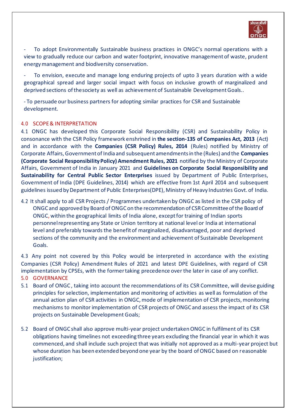

To adopt Environmentally Sustainable business practices in ONGC's normal operations with a view to gradually reduce our carbon and water footprint, innovative management of waste, prudent energy management and biodiversity conservation.

- To envision, execute and manage long enduring projects of upto 3 years duration with a wide geographical spread and larger social impact with focus on inclusive growth of marginalized and deprived sections of thesociety as well as achievement of Sustainable Development Goals..

- To persuade our business partners for adopting similar practices for CSR and Sustainable development.

#### <span id="page-4-0"></span>4. 0 SCOPE & INTERPRETATION

4. 1 ONGC has developed this Corporate Social Responsibility (CSR) and Sustainability Policy in consonance with the CSR Policy framework enshrined in **the section-135 of Companies Act, 2013** (Act) and in accordance with the **Companies (CSR Policy) Rules, 2014** (Rules) notified by Ministry of Corporate Affairs, Government of India and subsequent amendments in the (Rules) and the **Companies (Corporate Social Responsibility Policy) Amendment Rules, 2021** notified by the Ministry of Corporate Affairs, Government of India in January 2021 and **Guidelines on Corporate Social Responsibility and Sustainability for Central Public Sector Enterprises** issued by Department of Public Enterprises, Government of India (DPE Guidelines, 2014) which are effective from 1st April 2014 and subsequent guidelines issued by Department of Public Enterprises(DPE), Ministry of Heavy Industries Govt. of India.

4. 2 It shall apply to all CSR Projects / Programmes undertaken by ONGC as listed in the CSR policy of ONGC and approved by Board of ONGC on the recommendation of CSR Committee of the Board of ONGC, within the geographical limits of India alone, except for training of Indian sports personnel representing any State or Union territory at national level or India at international level and preferably towards the benefit of marginalized, disadvantaged, poor and deprived sections of the community and the environment and achievement of Sustainable Development Goals.

4.3 Any point not covered by this Policy would be interpreted in accordance with the existing Companies (CSR Policy) Amendment Rules of 2021 and latest DPE Guidelines, with regard of CSR implementation by CPSEs, with the former taking precedence over the later in case of any conflict. 5. 0 GOVERNANCE

- <span id="page-4-1"></span>5. 1 Board of ONGC , taking into account the recommendations of its CSR Committee, will devise guiding principles for selection, implementation and monitoring of activities as well as formulation of the annual action plan of CSR activities in ONGC, mode of implementation of CSR projects, monitoring mechanisms to monitor implementation of CSR projects of ONGC and assess the impact of its CSR projects on Sustainable Development Goals;
- 5. 2 Board of ONGC shall also approve multi-year project undertaken ONGC in fulfilment of its CSR obligations having timelines not exceeding three years excluding the financial year in which it was commenced, and shall include such project that was initially not approved as a multi-year project but whose duration has been extended beyond one year by the board of ONGC based on reasonable justification;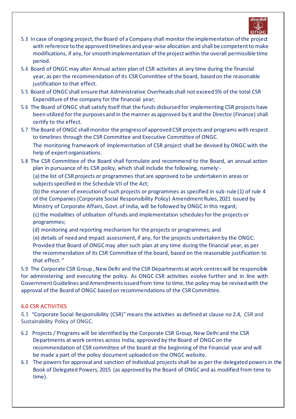

- 5. 3 In case of ongoing project, the Board of a Company shall monitor the implementation of the project with reference to the approved timelines and year-wise allocation and shall be competent to make modifications, if any, for smooth implementation of the project within the overall permissible time period.
- 5. 4 Board of ONGC may alter Annual action plan of CSR activities at any time during the financial year, as per the recommendation of its CSR Committee of the board, based on the reasonable justification to that effect.
- 5. 5 Board of ONGC shall ensure that Administrative Overheads shall not exceed 5% of the total CSR Expenditure of the company for the financial year;
- 5. 6 The Board of ONGC shall satisfy itself that the funds disbursed for implementing CSR projects have been utilized for the purposes and in the manner as approved by it and the Director (Finance) shall certify to the effect.
- 5. 7 The Board of ONGC shall monitor the progress of approved CSR projects and programs with respect to timelines through the CSR Committee and Executive Committee of ONGC. The monitoring framework of implementation of CSR project shall be devised by ONGC with the help of expert organizations.
- 5. 8 The CSR Committee of the Board shall formulate and recommend to the Board, an annual action plan in pursuance of its CSR policy, which shall include the following, namely:-

(a) the list of CSR projects or programmes that are approved to be undertaken in areas or subjects specified in the Schedule VII of the Act;

(b) the manner of execution of such projects or programmes as specified in sub-rule (1) of rule 4 of the Companies (Corporate Social Responsibility Policy) Amendment Rules, 2021 issued by Ministry of Corporate Affairs, Govt. of India, will be followed by ONGC in this regard;

(c) the modalities of utilisation of funds and implementation schedules for the projects or programmes;

(d) monitoring and reporting mechanism for the projects or programmes; and

(e) details of need and impact assessment, if any, for the projects undertaken by the ONGC: Provided that Board of ONGC may alter such plan at any time during the financial year, as per the recommendation of its CSR Committee of the board, based on the reasonable justification to that effect. "

5. 9 The Corporate CSR Group , New Delhi and the CSR Departments at work centres will be responsible for administering and executing the policy. As ONGC CSR activities evolve further and in line with Government Guidelines and Amendments issued from time to time, the policy may be revised with the approval of the Board of ONGC based on recommendations of the CSR Committee.

# <span id="page-5-0"></span>6.0 CSR ACTIVITIES

"Corporate Social Responsibility (CSR)" means the activities as defined at clause no 2.4, CSR and Sustainability Policy of ONGC.

- 6. 2 Projects / Programs will be identified by the Corporate CSR Group, New Delhi and the CSR Departments at work centres across India, approved by the Board of ONGC on the recommendation of CSR committee of the board at the beginning of the Financial year and will be made a part of the policy document uploaded on the ONGC website.
- 6. 3 The powers for approval and sanction of individual projects shall be as per the delegated powers in the Book of Delegated Powers, 2015 (as approved by the Board of ONGC and as modified from time to time).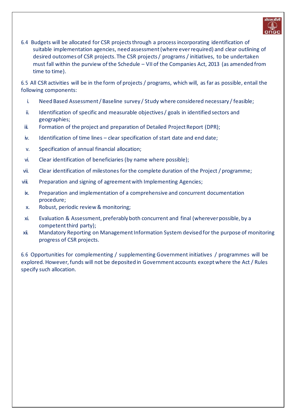

6. 4 Budgets will be allocated for CSR projects through a process incorporating identification of suitable implementation agencies, need assessment (where ever required) and clear outlining of desired outcomes of CSR projects. The CSR projects / programs / initiatives, to be undertaken must fall within the purview of the Schedule – VII of the Companies Act, 2013 (as amended from time to time).

6. 5 All CSR activities will be in the form of projects / programs, which will, as far as possible, entail the following components:

- i. Need Based Assessment / Baseline survey / Study where considered necessary /feasible;
- ii. Identification of specific and measurable objectives / goals in identified sectors and geographies;
- iii. Formation of the project and preparation of Detailed Project Report (DPR);
- iv. Identification of time lines clear specification of start date and end date;
- v. Specification of annual financial allocation;
- vi. Clear identification of beneficiaries (by name where possible);
- vii. Clear identification of milestones for the complete duration of the Project / programme;
- viii. Preparation and signing of agreement with Implementing Agencies;
- ix. Preparation and implementation of a comprehensive and concurrent documentation procedure;
- x. Robust, periodic review & monitoring;
- xi. Evaluation & Assessment, preferably both concurrent and final (wherever possible, by a competent third party);
- xii. Mandatory Reporting on Management Information System devised for the purpose of monitoring progress of CSR projects.

6. 6 Opportunities for complementing / supplementing Government initiatives / programmes will be explored. However, funds will not be deposited in Government accounts except where the Act / Rules specify such allocation.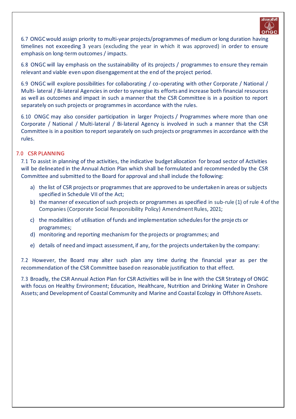

6. 7 ONGCwould assign priority to multi-year projects/programmes of medium or long duration having timelines not exceeding 3 years (excluding the year in which it was approved) in order to ensure emphasis on long-term outcomes / impacts.

6. 8 ONGC will lay emphasis on the sustainability of its projects / programmes to ensure they remain relevant and viable even upon disengagement at the end of the project period.

6. 9 ONGC will explore possibilities for collaborating / co-operating with other Corporate / National / Multi- lateral / Bi-lateral Agencies in order to synergise its efforts and increase both financial resources as well as outcomes and impact in such a manner that the CSR Committee is in a position to report separately on such projects or programmes in accordance with the rules.

6. 10 ONGC may also consider participation in larger Projects / Programmes where more than one Corporate / National / Multi-lateral / Bi-lateral Agency is involved in such a manner that the CSR Committee is in a position to report separately on such projects or programmes in accordance with the rules.

## <span id="page-7-0"></span>7. 0 CSR PLANNING

7. 1 To assist in planning of the activities, the indicative budget allocation for broad sector of Activities will be delineated in the Annual Action Plan which shall be formulated and recommended by the CSR Committee and submitted to the Board for approval and shall include the following:

- a) the list of CSR projects or programmes that are approved to be undertaken in areas orsubjects specified in Schedule VII of the Act;
- b) the manner of execution of such projects or programmes as specified in sub-rule (1) of rule 4 of the Companies (Corporate Social Responsibility Policy) Amendment Rules, 2021;
- c) the modalities of utilisation of funds and implementation schedules for the proje cts or programmes;
- d) monitoring and reporting mechanism for the projects or programmes; and
- e) details of need and impact assessment, if any, for the projects undertaken by the company:

7.2 However, the Board may alter such plan any time during the financial year as per the recommendation of the CSR Committee based on reasonable justification to that effect.

7. 3 Broadly, the CSR Annual Action Plan for CSR Activities will be in line with the CSR Strategy of ONGC with focus on Healthy Environment; Education, Healthcare, Nutrition and Drinking Water in Onshore Assets; and Development of Coastal Community and Marine and Coastal Ecology in Offshore Assets.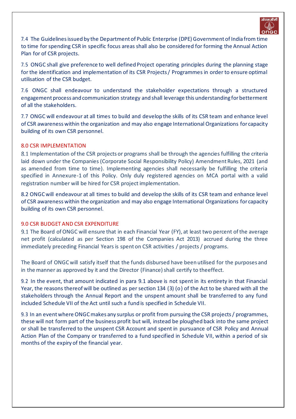

7. 4 The Guidelines issued by the Department of Public Enterprise (DPE) Government of India from time to time for spending CSR in specific focus areas shall also be considered for forming the Annual Action Plan for of CSR projects.

7. 5 ONGC shall give preference to well defined Project operating principles during the planning stage for the identification and implementation of its CSR Projects / Programmes in order to ensure optimal utilisation of the CSR budget.

7.6 ONGC shall endeavour to understand the stakeholder expectations through a structured engagement process and communication strategy and shall leverage this understanding for betterment of all the stakeholders.

7. 7 ONGC will endeavour at all times to build and develop the skills of its CSR team and enhance level of CSR awareness within the organization and may also engage International Organizations for capacity building of its own CSR personnel.

#### <span id="page-8-0"></span>8.0 CSR IMPLEMENTATION

8.1 Implementation of the CSR projects or programs shall be through the agencies fulfilling the criteria laid down under the Companies (Corporate Social Responsibility Policy) Amendment Rules, 2021 (and as amended from time to time). Implementing agencies shall necessarily be fulfilling the criteria specified in Annexure-1 of this Policy. Only duly registered agencies on MCA portal with a valid registration number will be hired for CSR project implementation.

8.2 ONGC will endeavour at all times to build and develop the skills of its CSR team and enhance level of CSR awareness within the organization and may also engage International Organizations for capacity building of its own CSR personnel.

# <span id="page-8-1"></span>9.0 CSR BUDGET AND CSR EXPENDITURE

The Board ofONGC will ensure that in each Financial Year (FY), at least two percent ofthe average net profit (calculated as per Section 198 of the Companies Act 2013) accrued during the three immediately preceding Financial Years is spent on CSR activities / projects / programs.

The Board of ONGC will satisfy itself that the funds disbursed have been utilised for the purposes and in the manner as approved by it and the Director (Finance) shall certify to theeffect.

9.2 In the event, that amount indicated in para 9.1 above is not spent in its entirety in that Financial Year, the reasons thereof will be outlined as per section 134 (3) (o) of the Act to be shared with all the stakeholders through the Annual Report and the unspent amount shall be transferred to any fund included Schedule VII of the Act until such a fund is specified in Schedule VII.

9. 3 In an eventwhere ONGCmakes any surplus or profit from pursuing the CSR projects/ programmes, these will not form part of the business profit but will, instead be ploughed back into the same project or shall be transferred to the unspent CSR Account and spent in pursuance of CSR Policy and Annual Action Plan of the Company or transferred to a fund specified in Schedule VII, within a period of six months of the expiry of the financial year.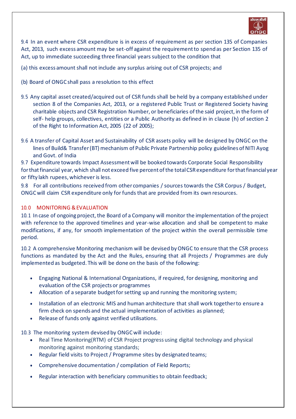

9. 4 In an event where CSR expenditure is in excess of requirement as per section 135 of Companies Act, 2013, such excess amount may be set-off against the requirement to spend as per Section 135 of Act, up to immediate succeeding three financial years subject to the condition that

(a) this excess amount shall not include any surplus arising out of CSR projects; and

- (b) Board of ONGC shall pass a resolution to this effect
- 9. 5 Any capital asset created/acquired out of CSR funds shall be held by a company established under section 8 of the Companies Act, 2013, or a registered Public Trust or Registered Society having charitable objects and CSR Registration Number, or beneficiaries ofthe said project, in the form of self- help groups, collectives, entities or a Public Authority as defined in in clause (h) of section 2 of the Right to Information Act, 2005 (22 of 2005);
- 9. 6 A transfer of Capital Asset and Sustainability of CSR assets policy will be designed by ONGC on the lines of Build& Transfer (BT) mechanism of Public Private Partnership policy guidelines of NITI Ayog and Govt. of India

9.7 Expenditure towards Impact Assessment will be booked towards Corporate Social Responsibility for that financial year, which shall not exceed five percent of the total CSR expenditure for that financial year or fifty lakh rupees, whichever is less.

9. 8 For all contributions received from other companies / sources towards the CSR Corpus / Budget, ONGC will claim CSR expenditure only for funds that are provided from its own resources.

## <span id="page-9-0"></span>10.0 MONITORING & EVALUATION

10.1 In case of ongoing project, the Board of a Company will monitor the implementation of the project with reference to the approved timelines and year-wise allocation and shall be competent to make modifications, if any, for smooth implementation of the project within the overall permissible time period.

10. 2 A comprehensive Monitoring mechanism will be devised byONGC to ensure that the CSR process functions as mandated by the Act and the Rules, ensuring that all Projects / Programmes are duly implemented as budgeted. This will be done on the basis of the following:

- Engaging National & International Organizations, if required, for designing, monitoring and evaluation of the CSR projects or programmes
- Allocation of a separate budget for setting up and running the monitoring system;
- Installation of an electronic MIS and human architecture that shall work together to ensure a firm check on spends and the actual implementation of activities as planned;
- Release of funds only against verified utilisations.

10. 3 The monitoring system devised by ONGC will include:

- Real Time Monitoring(RTM) of CSR Project progress using digital technology and physical monitoring against monitoring standards;
- Regular field visits to Project / Programme sites by designated teams;
- Comprehensive documentation / compilation of Field Reports;
- Regular interaction with beneficiary communities to obtain feedback;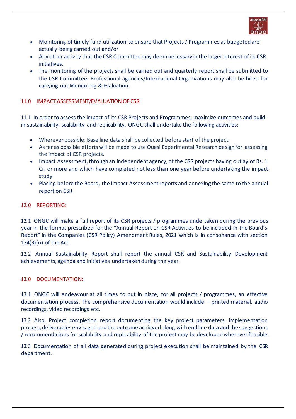

- Monitoring of timely fund utilization to ensure that Projects / Programmes as budgeted are actually being carried out and/or
- Any other activity that the CSR Committee may deemnecessary in the larger interest of its CSR initiatives.
- The monitoring of the projects shall be carried out and quarterly report shall be submitted to the CSR Committee. Professional agencies/International Organizations may also be hired for carrying out Monitoring & Evaluation.

## <span id="page-10-0"></span>11. 0 IMPACT ASSESSMENT/EVALUATION OF CSR

11. 1 In order to assess the impact of its CSR Projects and Programmes, maximize outcomes and buildin sustainability, scalability and replicability, ONGC shall undertake the following activities:

- Wherever possible, Base line data shall be collected before start of the project.
- As far as possible efforts will be made to use Quasi Experimental Research design for assessing the impact of CSR projects.
- Impact Assessment, through an independent agency, of the CSR projects having outlay of Rs. 1 Cr. or more and which have completed not less than one year before undertaking the impact study
- Placing before the Board, the Impact Assessmentreports and annexing the same to the annual report on CSR

## <span id="page-10-1"></span>12. 0 REPORTING:

12. 1 ONGC will make a full report of its CSR projects / programmes undertaken during the previous year in the format prescribed for the "Annual Report on CSR Activities to be included in the Board's Report" in the Companies (CSR Policy) Amendment Rules, 2021 which is in consonance with section 134(3)(o) of the Act.

12. 2 Annual Sustainability Report shall report the annual CSR and Sustainability Development achievements, agenda and initiatives undertaken during the year.

# <span id="page-10-2"></span>13. 0 DOCUMENTATION:

13. 1 ONGC will endeavour at all times to put in place, for all projects / programmes, an effective documentation process. The comprehensive documentation would include – printed material, audio recordings, video recordings etc.

13. 2 Also, Project completion report documenting the key project parameters, implementation process, deliverables envisaged and the outcome achieved along with end line data and the suggestions / recommendations for scalability and replicability of the project may be developed whereverfeasible.

13. 3 Documentation of all data generated during project execution shall be maintained by the CSR department.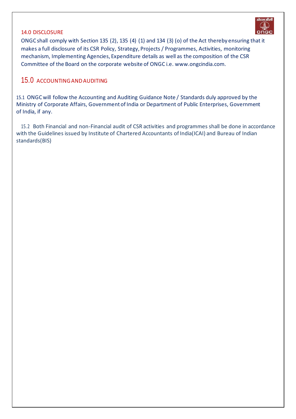#### <span id="page-11-0"></span>14.0 DISCLOSURE



ONGC shall comply with Section 135 (2), 135 (4) (1) and 134 (3) (o) of the Act thereby ensuring that it makes a full disclosure of its CSR Policy, Strategy, Projects / Programmes, Activities, monitoring mechanism, Implementing Agencies, Expenditure details as well as the composition of the CSR Committee of the Board on the corporate website of ONG[C i.e. www.ongcindia.com.](http://www.ongcindia.com/)

# <span id="page-11-1"></span>15.0 ACCOUNTING ANDAUDITING

15.1 ONGC will follow the Accounting and Auditing Guidance Note / Standards duly approved by the Ministry of Corporate Affairs, Government of India or Department of Public Enterprises, Government of India, if any.

15.2 Both Financial and non-Financial audit of CSR activities and programmes shall be done in accordance with the Guidelines issued by Institute of Chartered Accountants of India(ICAI) and Bureau of Indian standards(BIS)